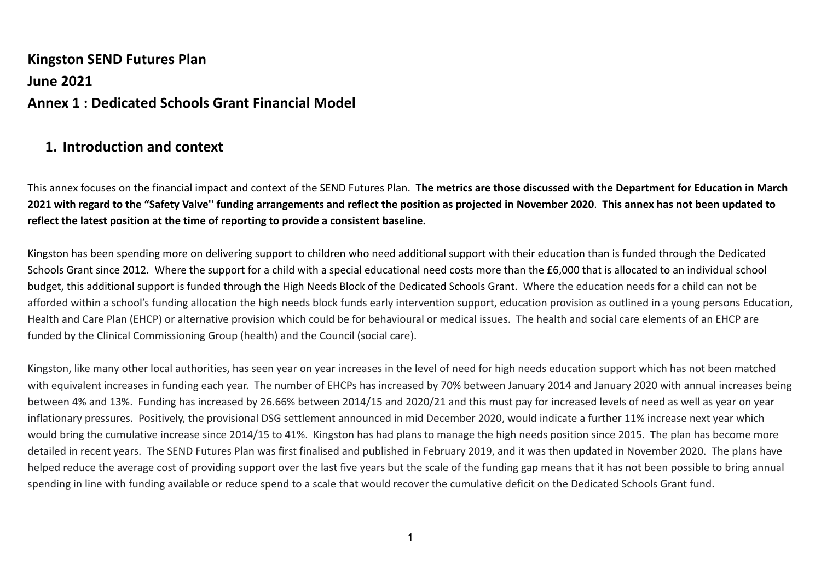# **Kingston SEND Futures Plan June 2021 Annex 1 : Dedicated Schools Grant Financial Model**

## **1. Introduction and context**

This annex focuses on the financial impact and context of the SEND Futures Plan. **The metrics are those discussed with the Department for Education in March 2021 with regard to the "Safety Valve'' funding arrangements and reflect the position as projected in November 2020**. **This annex has not been updated to reflect the latest position at the time of reporting to provide a consistent baseline.**

Kingston has been spending more on delivering support to children who need additional support with their education than is funded through the Dedicated Schools Grant since 2012. Where the support for a child with a special educational need costs more than the £6,000 that is allocated to an individual school budget, this additional support is funded through the High Needs Block of the Dedicated Schools Grant. Where the education needs for a child can not be afforded within a school's funding allocation the high needs block funds early intervention support, education provision as outlined in a young persons Education, Health and Care Plan (EHCP) or alternative provision which could be for behavioural or medical issues. The health and social care elements of an EHCP are funded by the Clinical Commissioning Group (health) and the Council (social care).

Kingston, like many other local authorities, has seen year on year increases in the level of need for high needs education support which has not been matched with equivalent increases in funding each year. The number of EHCPs has increased by 70% between January 2014 and January 2020 with annual increases being between 4% and 13%. Funding has increased by 26.66% between 2014/15 and 2020/21 and this must pay for increased levels of need as well as year on year inflationary pressures. Positively, the provisional DSG settlement announced in mid December 2020, would indicate a further 11% increase next year which would bring the cumulative increase since 2014/15 to 41%. Kingston has had plans to manage the high needs position since 2015. The plan has become more detailed in recent years. The SEND Futures Plan was first finalised and published in February 2019, and it was then updated in November 2020. The plans have helped reduce the average cost of providing support over the last five years but the scale of the funding gap means that it has not been possible to bring annual spending in line with funding available or reduce spend to a scale that would recover the cumulative deficit on the Dedicated Schools Grant fund.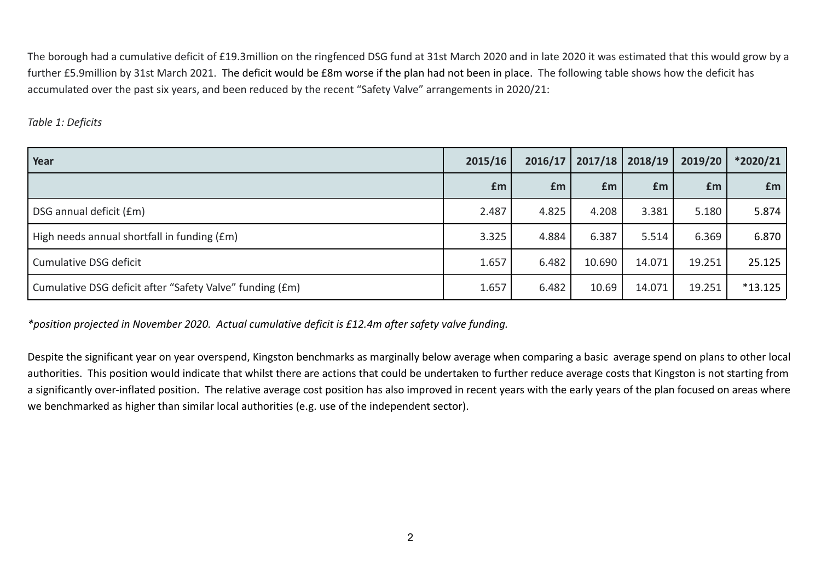The borough had a cumulative deficit of £19.3million on the ringfenced DSG fund at 31st March 2020 and in late 2020 it was estimated that this would grow by a further £5.9million by 31st March 2021. The deficit would be £8m worse if the plan had not been in place. The following table shows how the deficit has accumulated over the past six years, and been reduced by the recent "Safety Valve" arrangements in 2020/21:

#### *Table 1: Deficits*

| Year                                                     | 2015/16 | 2016/17 |        | $2017/18$ 2018/19 | 2019/20 | *2020/21  |
|----------------------------------------------------------|---------|---------|--------|-------------------|---------|-----------|
|                                                          | £m      | £m      | £m     | £m                | Em      | <b>fm</b> |
| DSG annual deficit (£m)                                  | 2.487   | 4.825   | 4.208  | 3.381             | 5.180   | 5.874     |
| High needs annual shortfall in funding (£m)              | 3.325   | 4.884   | 6.387  | 5.514             | 6.369   | 6.870     |
| Cumulative DSG deficit                                   | 1.657   | 6.482   | 10.690 | 14.071            | 19.251  | 25.125    |
| Cumulative DSG deficit after "Safety Valve" funding (£m) | 1.657   | 6.482   | 10.69  | 14.071            | 19.251  | $*13.125$ |

*\*position projected in November 2020. Actual cumulative deficit is £12.4m after safety valve funding.*

Despite the significant year on year overspend, Kingston benchmarks as marginally below average when comparing a basic average spend on plans to other local authorities. This position would indicate that whilst there are actions that could be undertaken to further reduce average costs that Kingston is not starting from a significantly over-inflated position. The relative average cost position has also improved in recent years with the early years of the plan focused on areas where we benchmarked as higher than similar local authorities (e.g. use of the independent sector).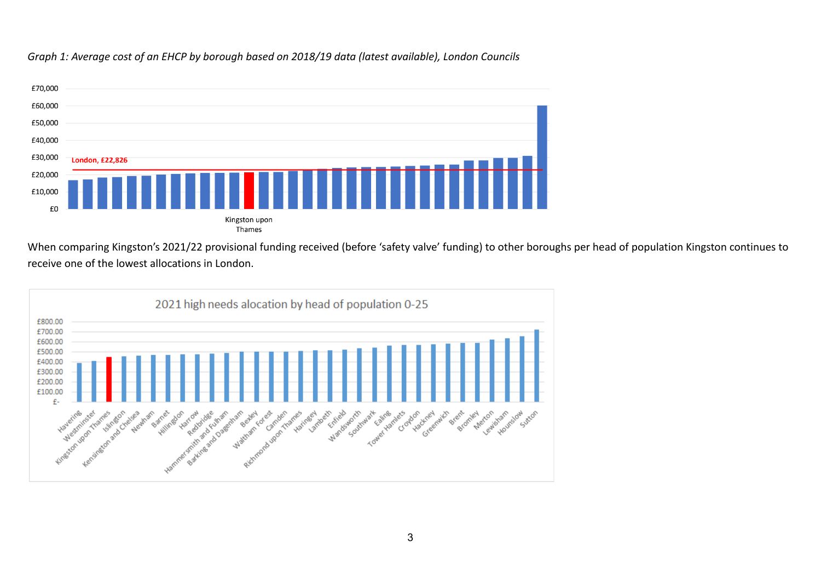

*Graph 1: Average cost of an EHCP by borough based on 2018/19 data (latest available), London Councils*

When comparing Kingston's 2021/22 provisional funding received (before 'safety valve' funding) to other boroughs per head of population Kingston continues to receive one of the lowest allocations in London.

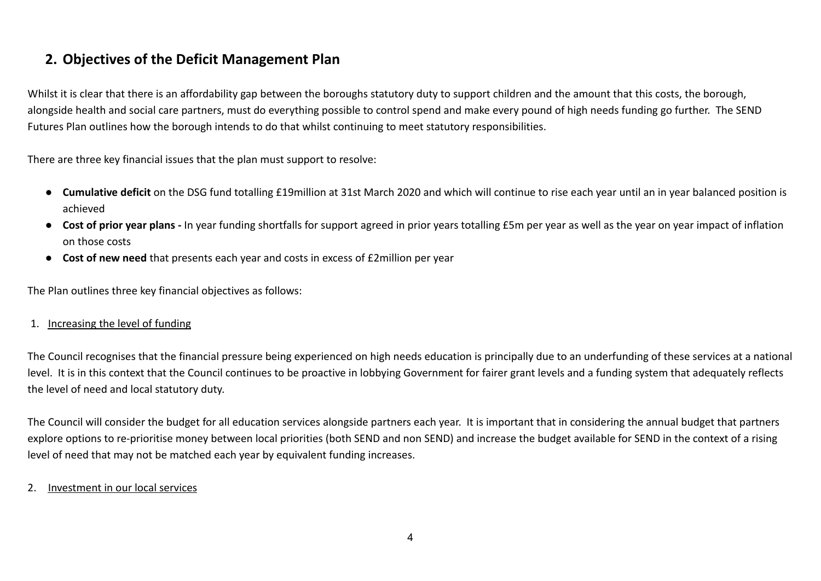# **2. Objectives of the Deficit Management Plan**

Whilst it is clear that there is an affordability gap between the boroughs statutory duty to support children and the amount that this costs, the borough, alongside health and social care partners, must do everything possible to control spend and make every pound of high needs funding go further. The SEND Futures Plan outlines how the borough intends to do that whilst continuing to meet statutory responsibilities.

There are three key financial issues that the plan must support to resolve:

- **Cumulative deficit** on the DSG fund totalling £19million at 31st March 2020 and which will continue to rise each year until an in year balanced position is achieved
- **Cost of prior year plans** In year funding shortfalls for support agreed in prior years totalling £5m per year as well as the year on year impact of inflation on those costs
- **Cost of new need** that presents each year and costs in excess of £2million per year

The Plan outlines three key financial objectives as follows:

#### 1. Increasing the level of funding

The Council recognises that the financial pressure being experienced on high needs education is principally due to an underfunding of these services at a national level. It is in this context that the Council continues to be proactive in lobbying Government for fairer grant levels and a funding system that adequately reflects the level of need and local statutory duty.

The Council will consider the budget for all education services alongside partners each year. It is important that in considering the annual budget that partners explore options to re-prioritise money between local priorities (both SEND and non SEND) and increase the budget available for SEND in the context of a rising level of need that may not be matched each year by equivalent funding increases.

#### 2. Investment in our local services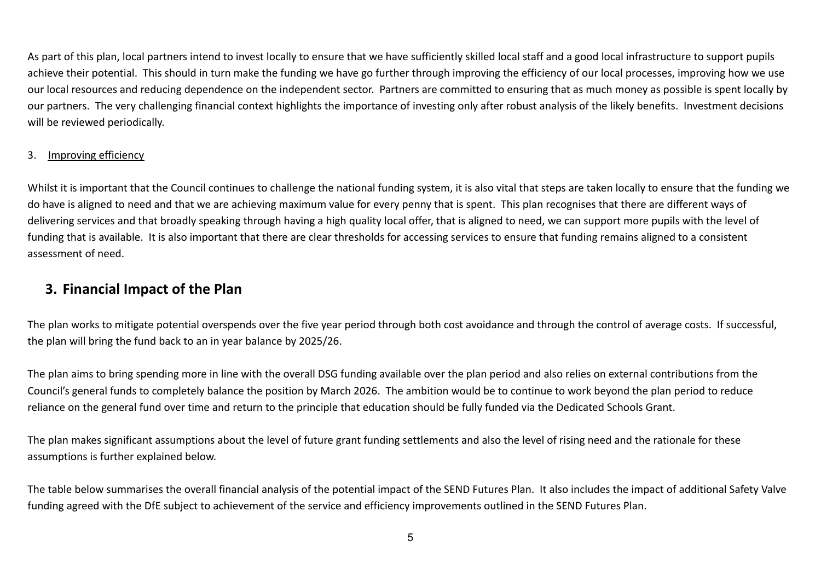As part of this plan, local partners intend to invest locally to ensure that we have sufficiently skilled local staff and a good local infrastructure to support pupils achieve their potential. This should in turn make the funding we have go further through improving the efficiency of our local processes, improving how we use our local resources and reducing dependence on the independent sector. Partners are committed to ensuring that as much money as possible is spent locally by our partners. The very challenging financial context highlights the importance of investing only after robust analysis of the likely benefits. Investment decisions will be reviewed periodically.

### 3. Improving efficiency

Whilst it is important that the Council continues to challenge the national funding system, it is also vital that steps are taken locally to ensure that the funding we do have is aligned to need and that we are achieving maximum value for every penny that is spent. This plan recognises that there are different ways of delivering services and that broadly speaking through having a high quality local offer, that is aligned to need, we can support more pupils with the level of funding that is available. It is also important that there are clear thresholds for accessing services to ensure that funding remains aligned to a consistent assessment of need.

## **3. Financial Impact of the Plan**

The plan works to mitigate potential overspends over the five year period through both cost avoidance and through the control of average costs. If successful, the plan will bring the fund back to an in year balance by 2025/26.

The plan aims to bring spending more in line with the overall DSG funding available over the plan period and also relies on external contributions from the Council's general funds to completely balance the position by March 2026. The ambition would be to continue to work beyond the plan period to reduce reliance on the general fund over time and return to the principle that education should be fully funded via the Dedicated Schools Grant.

The plan makes significant assumptions about the level of future grant funding settlements and also the level of rising need and the rationale for these assumptions is further explained below.

The table below summarises the overall financial analysis of the potential impact of the SEND Futures Plan. It also includes the impact of additional Safety Valve funding agreed with the DfE subject to achievement of the service and efficiency improvements outlined in the SEND Futures Plan.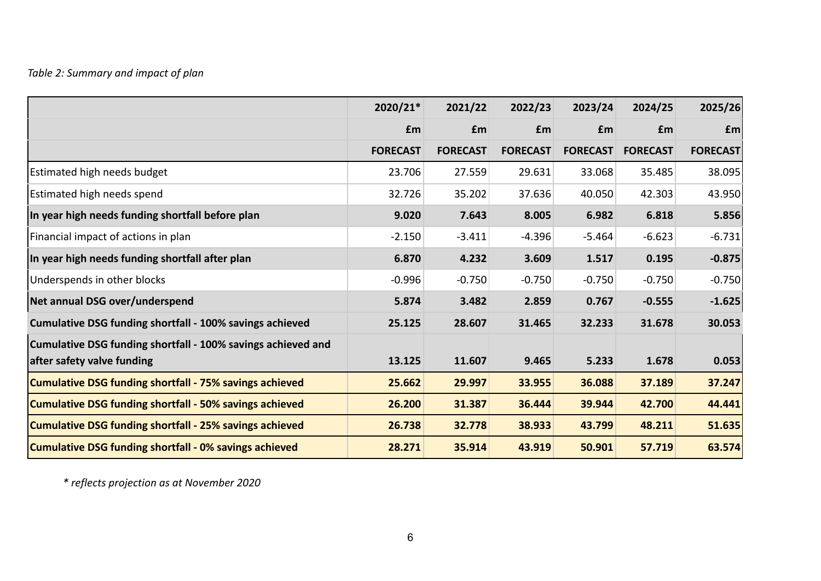|                                                              | 2020/21*        | 2021/22         | 2022/23         | 2023/24         | 2024/25         | 2025/26         |
|--------------------------------------------------------------|-----------------|-----------------|-----------------|-----------------|-----------------|-----------------|
|                                                              | £m              | £m              | £m              | £m              | £m              | £m              |
|                                                              | <b>FORECAST</b> | <b>FORECAST</b> | <b>FORECAST</b> | <b>FORECAST</b> | <b>FORECAST</b> | <b>FORECAST</b> |
| <b>Estimated high needs budget</b>                           | 23.706          | 27.559          | 29.631          | 33.068          | 35.485          | 38.095          |
| Estimated high needs spend                                   | 32.726          | 35.202          | 37.636          | 40.050          | 42.303          | 43.950          |
| In year high needs funding shortfall before plan             | 9.020           | 7.643           | 8.005           | 6.982           | 6.818           | 5.856           |
| Financial impact of actions in plan                          | $-2.150$        | $-3.411$        | $-4.396$        | $-5.464$        | $-6.623$        | $-6.731$        |
| In year high needs funding shortfall after plan              | 6.870           | 4.232           | 3.609           | 1.517           | 0.195           | $-0.875$        |
| Underspends in other blocks                                  | $-0.996$        | $-0.750$        | $-0.750$        | $-0.750$        | $-0.750$        | $-0.750$        |
| Net annual DSG over/underspend                               | 5.874           | 3.482           | 2.859           | 0.767           | $-0.555$        | $-1.625$        |
| Cumulative DSG funding shortfall - 100% savings achieved     | 25.125          | 28.607          | 31.465          | 32.233          | 31.678          | 30.053          |
| Cumulative DSG funding shortfall - 100% savings achieved and |                 |                 |                 |                 |                 |                 |
| after safety valve funding                                   | 13.125          | 11.607          | 9.465           | 5.233           | 1.678           | 0.053           |
| Cumulative DSG funding shortfall - 75% savings achieved      | 25.662          | 29.997          | 33.955          | 36.088          | 37.189          | 37.247          |
| Cumulative DSG funding shortfall - 50% savings achieved      | 26.200          | 31.387          | 36.444          | 39.944          | 42.700          | 44.441          |
| Cumulative DSG funding shortfall - 25% savings achieved      | 26.738          | 32.778          | 38.933          | 43.799          | 48.211          | 51.635          |
| Cumulative DSG funding shortfall - 0% savings achieved       | 28.271          | 35.914          | 43.919          | 50.901          | 57.719          | 63.574          |

*\* reflects projection as at November 2020*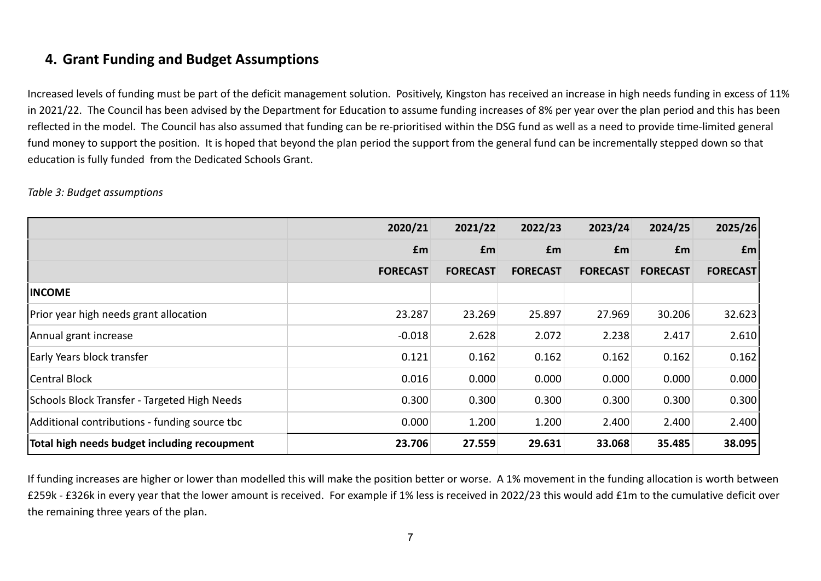# **4. Grant Funding and Budget Assumptions**

Increased levels of funding must be part of the deficit management solution. Positively, Kingston has received an increase in high needs funding in excess of 11% in 2021/22. The Council has been advised by the Department for Education to assume funding increases of 8% per year over the plan period and this has been reflected in the model. The Council has also assumed that funding can be re-prioritised within the DSG fund as well as a need to provide time-limited general fund money to support the position. It is hoped that beyond the plan period the support from the general fund can be incrementally stepped down so that education is fully funded from the Dedicated Schools Grant.

|                                               | 2020/21         | 2021/22         | 2022/23         | 2023/24         | 2024/25         | 2025/26         |
|-----------------------------------------------|-----------------|-----------------|-----------------|-----------------|-----------------|-----------------|
|                                               | £m              | <b>fm</b>       | <b>fm</b>       | £m              | £m              | f <sub>m</sub>  |
|                                               | <b>FORECAST</b> | <b>FORECAST</b> | <b>FORECAST</b> | <b>FORECAST</b> | <b>FORECAST</b> | <b>FORECAST</b> |
| <b>INCOME</b>                                 |                 |                 |                 |                 |                 |                 |
| Prior year high needs grant allocation        | 23.287          | 23.269          | 25.897          | 27.969          | 30.206          | 32.623          |
| Annual grant increase                         | $-0.018$        | 2.628           | 2.072           | 2.238           | 2.417           | 2.610           |
| Early Years block transfer                    | 0.121           | 0.162           | 0.162           | 0.162           | 0.162           | 0.162           |
| <b>Central Block</b>                          | 0.016           | 0.000           | 0.000           | 0.000           | 0.000           | 0.000           |
| Schools Block Transfer - Targeted High Needs  | 0.300           | 0.300           | 0.300           | 0.300           | 0.300           | 0.300           |
| Additional contributions - funding source tbc | 0.000           | 1.200           | 1.200           | 2.400           | 2.400           | 2.400           |
| Total high needs budget including recoupment  | 23.706          | 27.559          | 29.631          | 33.068          | 35.485          | 38.095          |

### *Table 3: Budget assumptions*

If funding increases are higher or lower than modelled this will make the position better or worse. A 1% movement in the funding allocation is worth between £259k - £326k in every year that the lower amount is received. For example if 1% less is received in 2022/23 this would add £1m to the cumulative deficit over the remaining three years of the plan.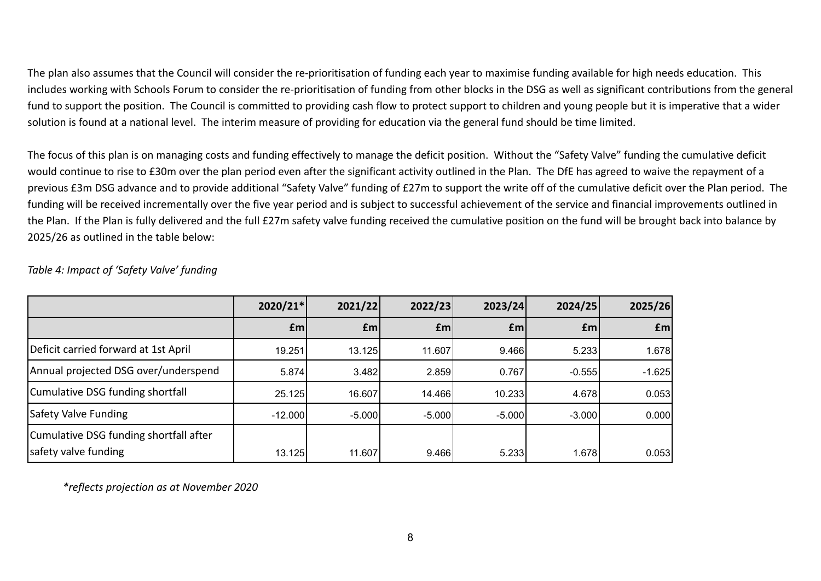The plan also assumes that the Council will consider the re-prioritisation of funding each year to maximise funding available for high needs education. This includes working with Schools Forum to consider the re-prioritisation of funding from other blocks in the DSG as well as significant contributions from the general fund to support the position. The Council is committed to providing cash flow to protect support to children and young people but it is imperative that a wider solution is found at a national level. The interim measure of providing for education via the general fund should be time limited.

The focus of this plan is on managing costs and funding effectively to manage the deficit position. Without the "Safety Valve" funding the cumulative deficit would continue to rise to £30m over the plan period even after the significant activity outlined in the Plan. The DfE has agreed to waive the repayment of a previous £3m DSG advance and to provide additional "Safety Valve" funding of £27m to support the write off of the cumulative deficit over the Plan period. The funding will be received incrementally over the five year period and is subject to successful achievement of the service and financial improvements outlined in the Plan. If the Plan is fully delivered and the full £27m safety valve funding received the cumulative position on the fund will be brought back into balance by 2025/26 as outlined in the table below:

|                                                                | 2020/21*  | 2021/22        | 2022/23        | 2023/24  | 2024/25        | 2025/26   |
|----------------------------------------------------------------|-----------|----------------|----------------|----------|----------------|-----------|
|                                                                | £m        | $\mathbf{f}$ m | $\mathbf{f}$ m | £m       | $\mathbf{f}$ m | <b>fm</b> |
| Deficit carried forward at 1st April                           | 19.251    | 13.125         | 11.607         | 9.466    | 5.233          | 1.678     |
| Annual projected DSG over/underspend                           | 5.874     | 3.482          | 2.859          | 0.767    | $-0.555$       | $-1.625$  |
| Cumulative DSG funding shortfall                               | 25.125    | 16.607         | 14.466         | 10.233   | 4.678          | 0.053     |
| Safety Valve Funding                                           | $-12.000$ | $-5.000$       | -5.000         | $-5.000$ | $-3.000$       | 0.000     |
| Cumulative DSG funding shortfall after<br>safety valve funding | 13.125    | 11.607         | 9.466          | 5.233    | 1.678          | 0.053     |

*Table 4: Impact of 'Safety Valve' funding*

*\*reflects projection as at November 2020*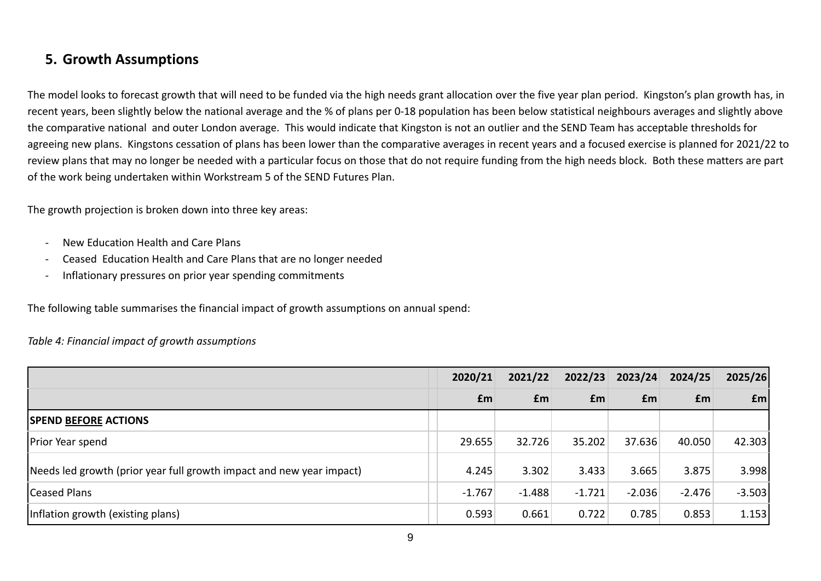## **5. Growth Assumptions**

The model looks to forecast growth that will need to be funded via the high needs grant allocation over the five year plan period. Kingston's plan growth has, in recent years, been slightly below the national average and the % of plans per 0-18 population has been below statistical neighbours averages and slightly above the comparative national and outer London average. This would indicate that Kingston is not an outlier and the SEND Team has acceptable thresholds for agreeing new plans. Kingstons cessation of plans has been lower than the comparative averages in recent years and a focused exercise is planned for 2021/22 to review plans that may no longer be needed with a particular focus on those that do not require funding from the high needs block. Both these matters are part of the work being undertaken within Workstream 5 of the SEND Futures Plan.

The growth projection is broken down into three key areas:

- New Education Health and Care Plans
- Ceased Education Health and Care Plans that are no longer needed
- Inflationary pressures on prior year spending commitments

The following table summarises the financial impact of growth assumptions on annual spend:

### *Table 4: Financial impact of growth assumptions*

|                                                                       | 2020/21  | 2021/22   | 2022/23  | 2023/24  | 2024/25  | 2025/26        |
|-----------------------------------------------------------------------|----------|-----------|----------|----------|----------|----------------|
|                                                                       | £m       | <b>fm</b> | Em       | £m       | £m       | f <sub>m</sub> |
| <b>SPEND BEFORE ACTIONS</b>                                           |          |           |          |          |          |                |
| <b>Prior Year spend</b>                                               | 29.655   | 32.726    | 35.202   | 37.636   | 40.050   | 42.303         |
| [Needs led growth (prior year full growth impact and new year impact) | 4.245    | 3.302     | 3.433    | 3.665    | 3.875    | 3.998          |
| <b>Ceased Plans</b>                                                   | $-1.767$ | $-1.488$  | $-1.721$ | $-2.036$ | $-2.476$ | $-3.503$       |
| Inflation growth (existing plans)                                     | 0.593    | 0.661     | 0.722    | 0.785    | 0.853    | 1.153          |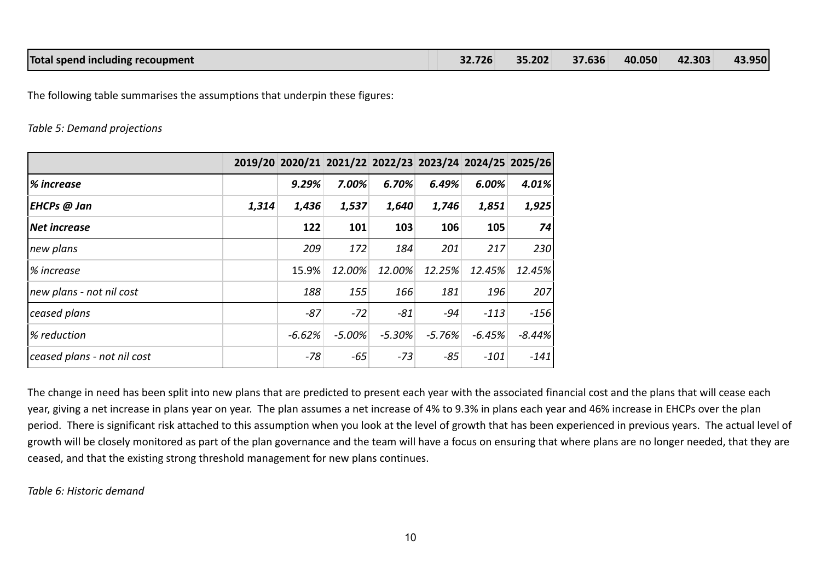The following table summarises the assumptions that underpin these figures:

#### *Table 5: Demand projections*

|                             |       |          |          |          |          |          | 2019/20 2020/21 2021/22 2022/23 2023/24 2024/25 2025/26 |
|-----------------------------|-------|----------|----------|----------|----------|----------|---------------------------------------------------------|
| % increase                  |       | 9.29%    | 7.00%    | 6.70%    | 6.49%    | 6.00%    | 4.01%                                                   |
| EHCPs @ Jan                 | 1,314 | 1,436    | 1,537    | 1,640    | 1,746    | 1,851    | 1,925                                                   |
| Net increase                |       | 122      | 101      | 103      | 106      | 105      | 74                                                      |
| new plans                   |       | 209      | 172      | 184      | 201      | 217      | 230                                                     |
| ∣% increase                 |       | 15.9%    | 12.00%   | 12.00%   | 12.25%   | 12.45%   | 12.45%                                                  |
| new plans - not nil cost    |       | 188      | 155      | 166      | 181      | 196      | 207                                                     |
| ceased plans                |       | $-87$    | $-72$    | $-81$    | -94      | $-113$   | $-156$                                                  |
| % reduction                 |       | $-6.62%$ | $-5.00%$ | $-5.30%$ | $-5.76%$ | $-6.45%$ | $-8.44%$                                                |
| ceased plans - not nil cost |       | $-78$    | -65      | $-73$    | $-85$    | $-101$   | $-141$                                                  |

The change in need has been split into new plans that are predicted to present each year with the associated financial cost and the plans that will cease each year, giving a net increase in plans year on year. The plan assumes a net increase of 4% to 9.3% in plans each year and 46% increase in EHCPs over the plan period. There is significant risk attached to this assumption when you look at the level of growth that has been experienced in previous years. The actual level of growth will be closely monitored as part of the plan governance and the team will have a focus on ensuring that where plans are no longer needed, that they are ceased, and that the existing strong threshold management for new plans continues.

*Table 6: Historic demand*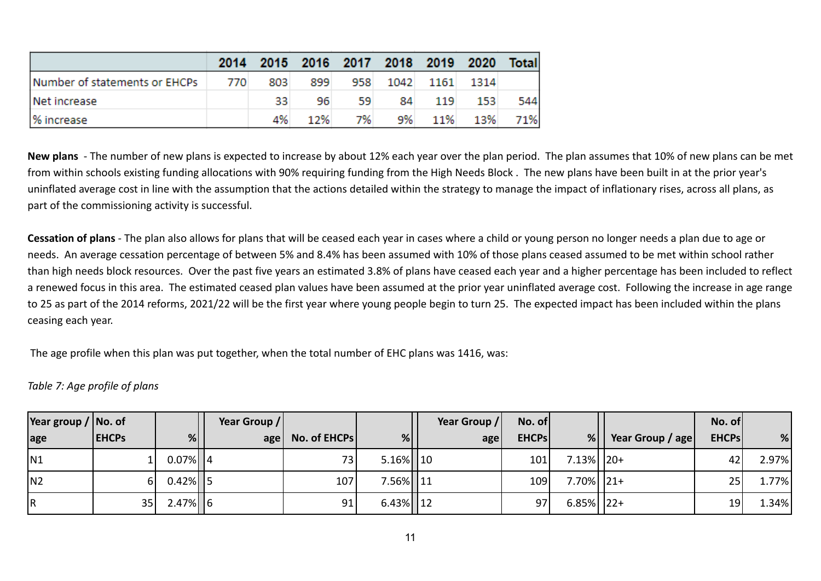|                               |       |     |     |     |     |     | 2014 2015 2016 2017 2018 2019 2020 | Total |
|-------------------------------|-------|-----|-----|-----|-----|-----|------------------------------------|-------|
| Number of statements or EHCPs | - 770 | 803 | 899 |     |     |     | 958 1042 1161 1314                 |       |
| Net increase                  |       | 33. | 96  | 59. | 84. | 119 | -153                               | 544   |
| % increase                    |       | 4%  | 12% | 7%  | 9%  | 11% | 13%                                | 71%   |

**New plans** - The number of new plans is expected to increase by about 12% each year over the plan period. The plan assumes that 10% of new plans can be met from within schools existing funding allocations with 90% requiring funding from the High Needs Block . The new plans have been built in at the prior year's uninflated average cost in line with the assumption that the actions detailed within the strategy to manage the impact of inflationary rises, across all plans, as part of the commissioning activity is successful.

**Cessation of plans** - The plan also allows for plans that will be ceased each year in cases where a child or young person no longer needs a plan due to age or needs. An average cessation percentage of between 5% and 8.4% has been assumed with 10% of those plans ceased assumed to be met within school rather than high needs block resources. Over the past five years an estimated 3.8% of plans have ceased each year and a higher percentage has been included to reflect a renewed focus in this area. The estimated ceased plan values have been assumed at the prior year uninflated average cost. Following the increase in age range to 25 as part of the 2014 reforms, 2021/22 will be the first year where young people begin to turn 25. The expected impact has been included within the plans ceasing each year.

The age profile when this plan was put together, when the total number of EHC plans was 1416, was:

*Table 7: Age profile of plans*

| Year group $/$ No. of |              |               | Year Group / |                  |               | Year Group / | No. of       |                |                  | No. of          |       |
|-----------------------|--------------|---------------|--------------|------------------|---------------|--------------|--------------|----------------|------------------|-----------------|-------|
| age                   | <b>EHCPs</b> | %             |              | age No. of EHCPs | %             | age          | <b>EHCPs</b> | %              | Year Group / age | <b>EHCPs</b>    | %     |
| N <sub>1</sub>        |              | $0.07\%$    4 |              | 73               | $5.16\%$   10 |              | 101          | $7.13\%$   20+ |                  | 42'             | 2.97% |
| N <sub>2</sub>        |              | $0.42\%$   5  |              | 107              | 7.56% 11      |              | 109          | $7.70\%$   21+ |                  | 25              | 1.77% |
| R                     | 35           | $2.47\%$ 6    |              | 91               | $6.43\%$   12 |              | 97           | $6.85\%$   22+ |                  | 19 <sub>1</sub> | 1.34% |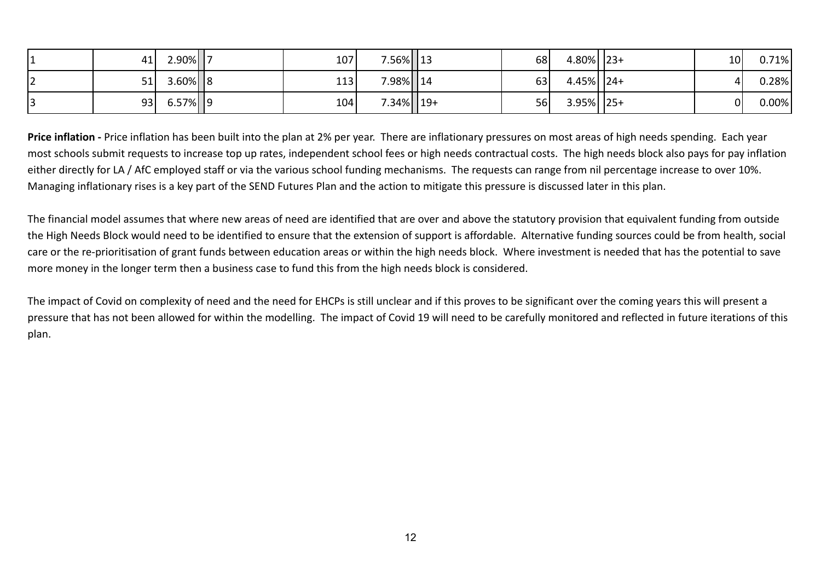|    | 41 | $2.90\%$    7 | 107 | 7.56% 13       | 68 | $4.80\%$   23+ | 10 <sup>1</sup> | 0.71%    |
|----|----|---------------|-----|----------------|----|----------------|-----------------|----------|
| ▎᠘ | 51 | $3.60\%$ 8    | 113 | 7.98% 14       | 63 | $4.45\%$   24+ | $\mathbf{A}$    | $0.28\%$ |
|    | 93 | $6.57\%$   9  | 104 | $7.34\%$   19+ | 56 | $3.95\%$   25+ | 0               | $0.00\%$ |

**Price inflation -** Price inflation has been built into the plan at 2% per year. There are inflationary pressures on most areas of high needs spending. Each year most schools submit requests to increase top up rates, independent school fees or high needs contractual costs. The high needs block also pays for pay inflation either directly for LA / AfC employed staff or via the various school funding mechanisms. The requests can range from nil percentage increase to over 10%. Managing inflationary rises is a key part of the SEND Futures Plan and the action to mitigate this pressure is discussed later in this plan.

The financial model assumes that where new areas of need are identified that are over and above the statutory provision that equivalent funding from outside the High Needs Block would need to be identified to ensure that the extension of support is affordable. Alternative funding sources could be from health, social care or the re-prioritisation of grant funds between education areas or within the high needs block. Where investment is needed that has the potential to save more money in the longer term then a business case to fund this from the high needs block is considered.

The impact of Covid on complexity of need and the need for EHCPs is still unclear and if this proves to be significant over the coming years this will present a pressure that has not been allowed for within the modelling. The impact of Covid 19 will need to be carefully monitored and reflected in future iterations of this plan.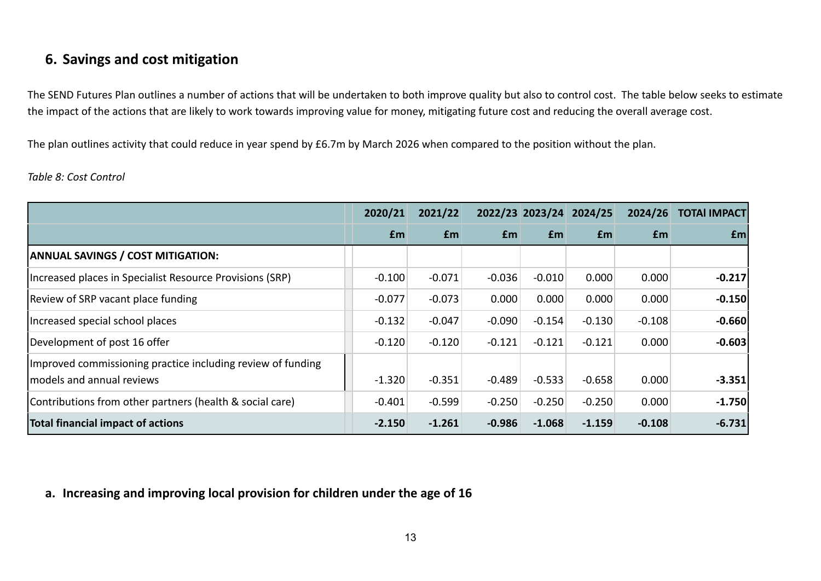## **6. Savings and cost mitigation**

The SEND Futures Plan outlines a number of actions that will be undertaken to both improve quality but also to control cost. The table below seeks to estimate the impact of the actions that are likely to work towards improving value for money, mitigating future cost and reducing the overall average cost.

The plan outlines activity that could reduce in year spend by £6.7m by March 2026 when compared to the position without the plan.

### *Table 8: Cost Control*

|                                                             | 2020/21  | 2021/22  |           |          | 2022/23 2023/24 2024/25 | 2024/26    | <b>TOTAI IMPACT</b> |
|-------------------------------------------------------------|----------|----------|-----------|----------|-------------------------|------------|---------------------|
|                                                             | £m       | Em       | <b>fm</b> | £m       | <b>f</b> m              | <b>f</b> m | £m                  |
| <b>ANNUAL SAVINGS / COST MITIGATION:</b>                    |          |          |           |          |                         |            |                     |
| Increased places in Specialist Resource Provisions (SRP)    | $-0.100$ | $-0.071$ | $-0.036$  | $-0.010$ | 0.000                   | 0.000      | $-0.217$            |
| Review of SRP vacant place funding                          | $-0.077$ | $-0.073$ | 0.000     | 0.000    | 0.000                   | 0.000      | $-0.150$            |
| Increased special school places                             | $-0.132$ | $-0.047$ | $-0.090$  | $-0.154$ | $-0.130$                | $-0.108$   | $-0.660$            |
| Development of post 16 offer                                | $-0.120$ | $-0.120$ | $-0.121$  | $-0.121$ | $-0.121$                | 0.000      | $-0.603$            |
| Improved commissioning practice including review of funding |          |          |           |          |                         |            |                     |
| lmodels and annual reviews                                  | $-1.320$ | $-0.351$ | $-0.489$  | $-0.533$ | $-0.658$                | 0.000      | $-3.351$            |
| Contributions from other partners (health & social care)    | $-0.401$ | $-0.599$ | $-0.250$  | $-0.250$ | $-0.250$                | 0.000      | $-1.750$            |
| Total financial impact of actions                           | $-2.150$ | $-1.261$ | $-0.986$  | $-1.068$ | $-1.159$                | $-0.108$   | $-6.731$            |

## **a. Increasing and improving local provision for children under the age of 16**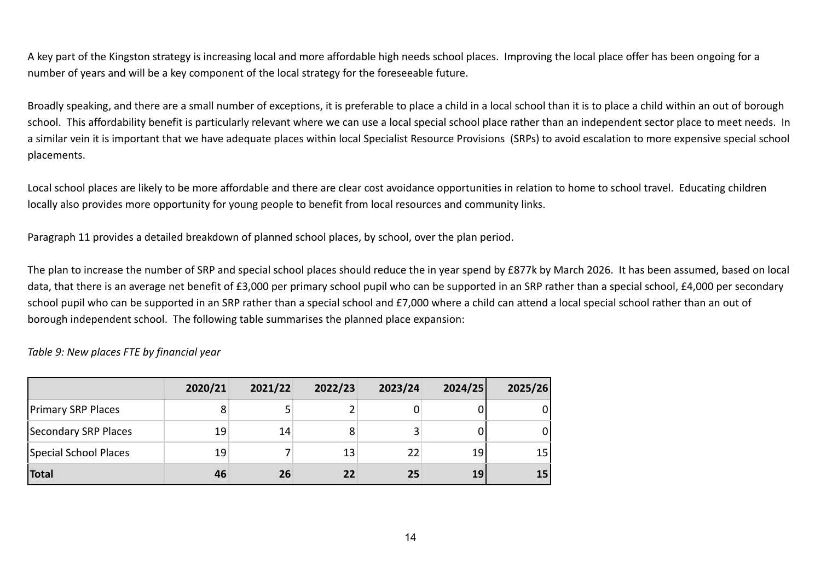A key part of the Kingston strategy is increasing local and more affordable high needs school places. Improving the local place offer has been ongoing for a number of years and will be a key component of the local strategy for the foreseeable future.

Broadly speaking, and there are a small number of exceptions, it is preferable to place a child in a local school than it is to place a child within an out of borough school. This affordability benefit is particularly relevant where we can use a local special school place rather than an independent sector place to meet needs. In a similar vein it is important that we have adequate places within local Specialist Resource Provisions (SRPs) to avoid escalation to more expensive special school placements.

Local school places are likely to be more affordable and there are clear cost avoidance opportunities in relation to home to school travel. Educating children locally also provides more opportunity for young people to benefit from local resources and community links.

Paragraph 11 provides a detailed breakdown of planned school places, by school, over the plan period.

The plan to increase the number of SRP and special school places should reduce the in year spend by £877k by March 2026. It has been assumed, based on local data, that there is an average net benefit of £3,000 per primary school pupil who can be supported in an SRP rather than a special school, £4,000 per secondary school pupil who can be supported in an SRP rather than a special school and £7,000 where a child can attend a local special school rather than an out of borough independent school. The following table summarises the planned place expansion:

#### *Table 9: New places FTE by financial year*

|                           | 2020/21 | 2021/22 | 2022/23 | 2023/24 | 2024/25 | 2025/26 |
|---------------------------|---------|---------|---------|---------|---------|---------|
| <b>Primary SRP Places</b> |         |         |         |         |         |         |
| Secondary SRP Places      | 19      | 14      | 8       |         |         | 0       |
| Special School Places     | 19      |         | 13      | 22      | 19      | 15      |
| Total                     | 46      | 26      | 22      | 25      | 19      | 15      |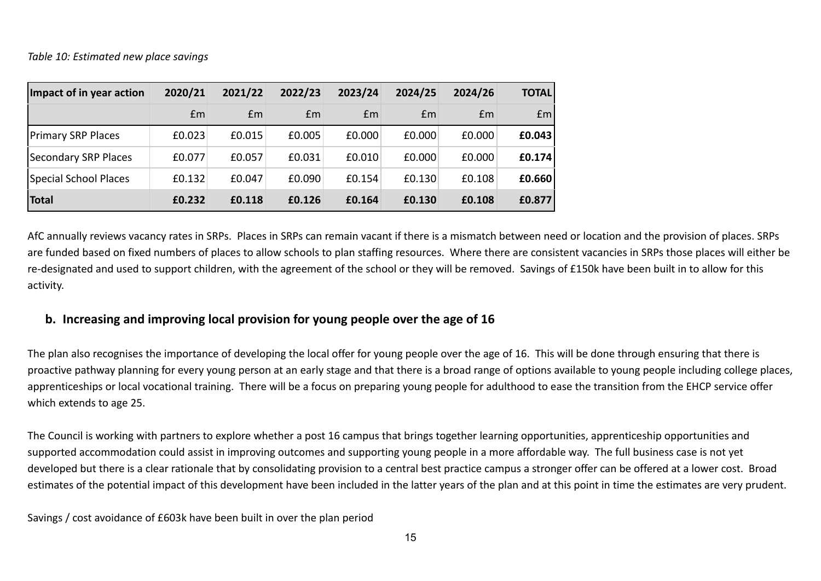| Impact of in year action  | 2020/21 | 2021/22 | 2022/23 | 2023/24 | 2024/25 | 2024/26 | <b>TOTAL</b>    |
|---------------------------|---------|---------|---------|---------|---------|---------|-----------------|
|                           | Em      | £m      | £m      | £m      | £m      | Em      | Em <sub>l</sub> |
| <b>Primary SRP Places</b> | £0.023  | £0.015  | £0.005  | £0.000  | £0.000  | £0.000  | E0.043          |
| Secondary SRP Places      | £0.077  | £0.057  | £0.031  | £0.010  | £0.000  | £0.000  | £0.174          |
| Special School Places     | £0.132  | £0.047  | £0.090  | £0.154  | £0.130  | £0.108  | £0.660          |
| <b>Total</b>              | £0.232  | £0.118  | £0.126  | £0.164  | £0.130  | £0.108  | £0.877          |

AfC annually reviews vacancy rates in SRPs. Places in SRPs can remain vacant if there is a mismatch between need or location and the provision of places. SRPs are funded based on fixed numbers of places to allow schools to plan staffing resources. Where there are consistent vacancies in SRPs those places will either be re-designated and used to support children, with the agreement of the school or they will be removed. Savings of £150k have been built in to allow for this activity.

## **b. Increasing and improving local provision for young people over the age of 16**

The plan also recognises the importance of developing the local offer for young people over the age of 16. This will be done through ensuring that there is proactive pathway planning for every young person at an early stage and that there is a broad range of options available to young people including college places, apprenticeships or local vocational training. There will be a focus on preparing young people for adulthood to ease the transition from the EHCP service offer which extends to age 25.

The Council is working with partners to explore whether a post 16 campus that brings together learning opportunities, apprenticeship opportunities and supported accommodation could assist in improving outcomes and supporting young people in a more affordable way. The full business case is not yet developed but there is a clear rationale that by consolidating provision to a central best practice campus a stronger offer can be offered at a lower cost. Broad estimates of the potential impact of this development have been included in the latter years of the plan and at this point in time the estimates are very prudent.

Savings / cost avoidance of £603k have been built in over the plan period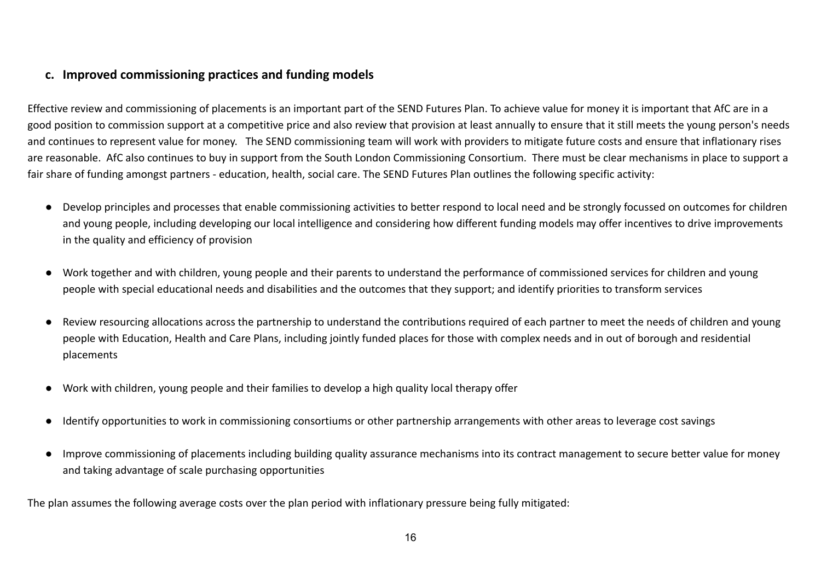## **c. Improved commissioning practices and funding models**

Effective review and commissioning of placements is an important part of the SEND Futures Plan. To achieve value for money it is important that AfC are in a good position to commission support at a competitive price and also review that provision at least annually to ensure that it still meets the young person's needs and continues to represent value for money. The SEND commissioning team will work with providers to mitigate future costs and ensure that inflationary rises are reasonable. AfC also continues to buy in support from the South London Commissioning Consortium. There must be clear mechanisms in place to support a fair share of funding amongst partners - education, health, social care. The SEND Futures Plan outlines the following specific activity:

- Develop principles and processes that enable commissioning activities to better respond to local need and be strongly focussed on outcomes for children and young people, including developing our local intelligence and considering how different funding models may offer incentives to drive improvements in the quality and efficiency of provision
- Work together and with children, young people and their parents to understand the performance of commissioned services for children and young people with special educational needs and disabilities and the outcomes that they support; and identify priorities to transform services
- Review resourcing allocations across the partnership to understand the contributions required of each partner to meet the needs of children and young people with Education, Health and Care Plans, including jointly funded places for those with complex needs and in out of borough and residential placements
- Work with children, young people and their families to develop a high quality local therapy offer
- Identify opportunities to work in commissioning consortiums or other partnership arrangements with other areas to leverage cost savings
- Improve commissioning of placements including building quality assurance mechanisms into its contract management to secure better value for money and taking advantage of scale purchasing opportunities

The plan assumes the following average costs over the plan period with inflationary pressure being fully mitigated: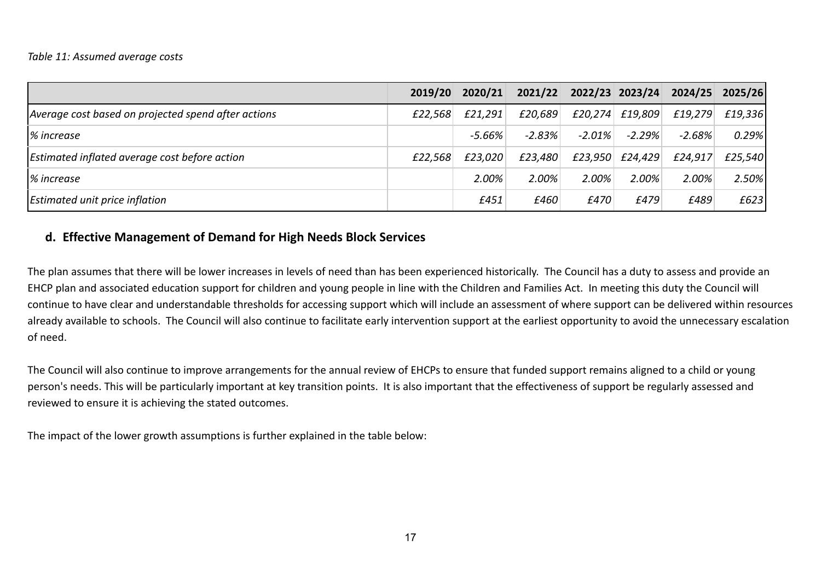#### *Table 11: Assumed average costs*

|                                                     | 2019/20 | 2020/21   | 2021/22  | 2022/23 2023/24 |                     |          | 2024/25 2025/26 |
|-----------------------------------------------------|---------|-----------|----------|-----------------|---------------------|----------|-----------------|
| Average cost based on projected spend after actions | £22,568 | £21,291   | £20,689  |                 | $f20,274$ $f19,809$ | £19,279  | £19,336         |
| % increase                                          |         | $-5.66\%$ | $-2.83%$ | $-2.01\%$       | $-2.29%$            | $-2.68%$ | 0.29%           |
| Estimated inflated average cost before action       | £22,568 | £23,020   | £23,480  | £23,950         | £24,429             | £24,917  | £25,540         |
| % increase                                          |         | 2.00%     | 2.00%    | 2.00%           | 2.00%               | 2.00%    | $2.50\%$        |
| Estimated unit price inflation                      |         | £451      | £460     | £470            | £479                | £489     | £623            |

## **d. Effective Management of Demand for High Needs Block Services**

The plan assumes that there will be lower increases in levels of need than has been experienced historically. The Council has a duty to assess and provide an EHCP plan and associated education support for children and young people in line with the Children and Families Act. In meeting this duty the Council will continue to have clear and understandable thresholds for accessing support which will include an assessment of where support can be delivered within resources already available to schools. The Council will also continue to facilitate early intervention support at the earliest opportunity to avoid the unnecessary escalation of need.

The Council will also continue to improve arrangements for the annual review of EHCPs to ensure that funded support remains aligned to a child or young person's needs. This will be particularly important at key transition points. It is also important that the effectiveness of support be regularly assessed and reviewed to ensure it is achieving the stated outcomes.

The impact of the lower growth assumptions is further explained in the table below: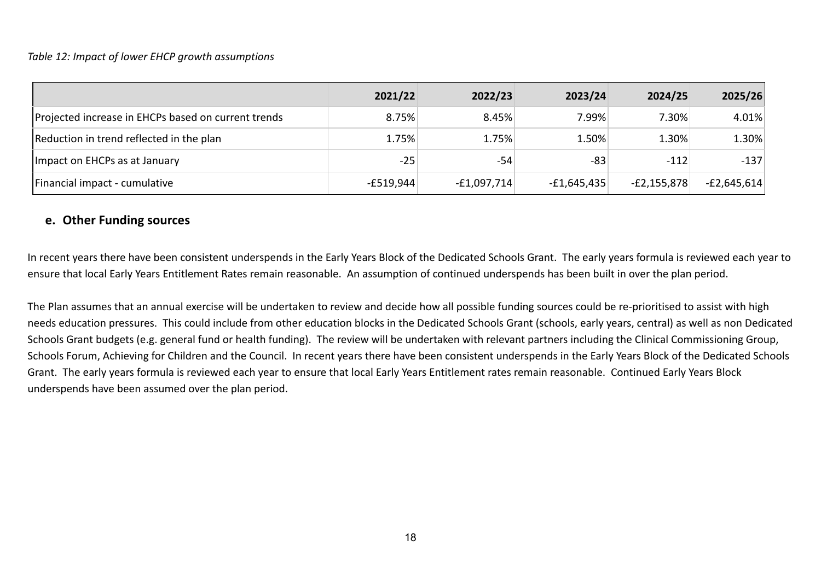### *Table 12: Impact of lower EHCP growth assumptions*

|                                                     | 2021/22     | 2022/23       | 2023/24       | 2024/25       | 2025/26       |
|-----------------------------------------------------|-------------|---------------|---------------|---------------|---------------|
| Projected increase in EHCPs based on current trends | 8.75%       | 8.45%         | 7.99%         | 7.30%         | 4.01%         |
| Reduction in trend reflected in the plan            | 1.75%       | 1.75%         | 1.50%         | 1.30%         | 1.30%         |
| Impact on EHCPs as at January                       | $-25$       | -54           | $-83$         | $-112$        | $-137$        |
| Financial impact - cumulative                       | $-E519,944$ | $-f1,097,714$ | $-£1,645,435$ | $-E2,155,878$ | $-E2,645,614$ |

### **e. Other Funding sources**

In recent years there have been consistent underspends in the Early Years Block of the Dedicated Schools Grant. The early years formula is reviewed each year to ensure that local Early Years Entitlement Rates remain reasonable. An assumption of continued underspends has been built in over the plan period.

The Plan assumes that an annual exercise will be undertaken to review and decide how all possible funding sources could be re-prioritised to assist with high needs education pressures. This could include from other education blocks in the Dedicated Schools Grant (schools, early years, central) as well as non Dedicated Schools Grant budgets (e.g. general fund or health funding). The review will be undertaken with relevant partners including the Clinical Commissioning Group, Schools Forum, Achieving for Children and the Council. In recent years there have been consistent underspends in the Early Years Block of the Dedicated Schools Grant. The early years formula is reviewed each year to ensure that local Early Years Entitlement rates remain reasonable. Continued Early Years Block underspends have been assumed over the plan period.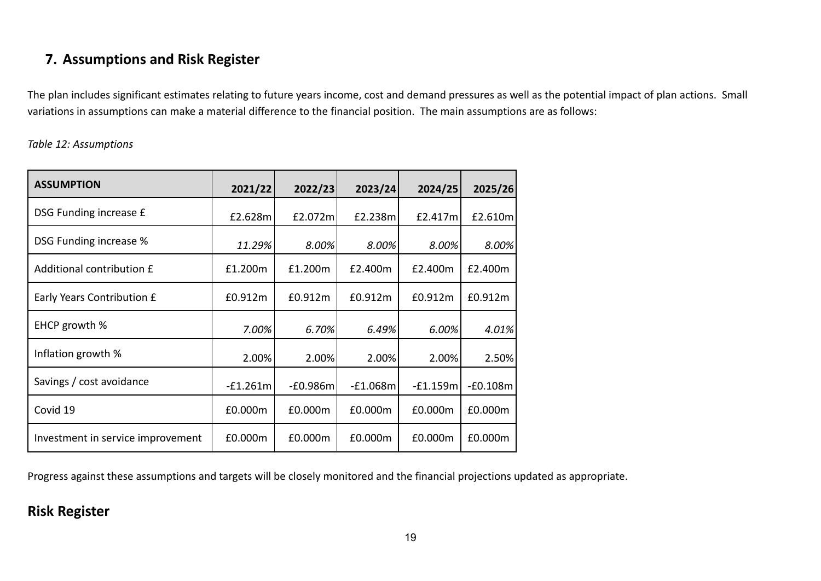# **7. Assumptions and Risk Register**

The plan includes significant estimates relating to future years income, cost and demand pressures as well as the potential impact of plan actions. Small variations in assumptions can make a material difference to the financial position. The main assumptions are as follows:

*Table 12: Assumptions*

| <b>ASSUMPTION</b>                 | 2021/22    | 2022/23    | 2023/24    | 2024/25    | 2025/26    |
|-----------------------------------|------------|------------|------------|------------|------------|
| DSG Funding increase £            | £2.628m    | £2.072ml   | £2.238m    | £2.417m    | £2.610m    |
| <b>DSG Funding increase %</b>     | 11.29%     | 8.00%      | 8.00%      | 8.00%      | 8.00%      |
| Additional contribution £         | £1.200m    | £1.200m    | £2.400m    | £2.400m    | £2.400m    |
| Early Years Contribution £        | £0.912m    | £0.912m    | £0.912m    | £0.912m    | £0.912m    |
| EHCP growth %                     | $7.00\%$   | 6.70%      | 6.49%      | 6.00%      | 4.01%      |
| Inflation growth %                | 2.00%      | 2.00%      | 2.00%      | 2.00%      | 2.50%      |
| Savings / cost avoidance          | $-f1.261m$ | $-£0.986m$ | $-E1.068m$ | $-f1.159m$ | $-£0.108m$ |
| Covid 19                          | £0.000m    | £0.000m    | £0.000m    | £0.000m    | £0.000m    |
| Investment in service improvement | £0.000m    | £0.000m    | £0.000m    | £0.000m    | £0.000m    |

Progress against these assumptions and targets will be closely monitored and the financial projections updated as appropriate.

## **Risk Register**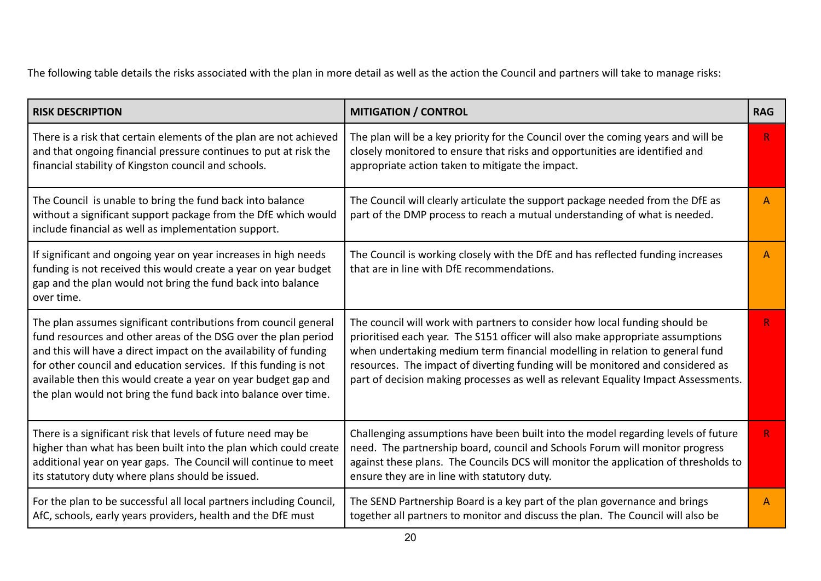The following table details the risks associated with the plan in more detail as well as the action the Council and partners will take to manage risks:

| <b>RISK DESCRIPTION</b>                                                                                                                                                                                                                                                                                                                                                                                        | <b>MITIGATION / CONTROL</b>                                                                                                                                                                                                                                                                                                                                                                                           | <b>RAG</b>   |
|----------------------------------------------------------------------------------------------------------------------------------------------------------------------------------------------------------------------------------------------------------------------------------------------------------------------------------------------------------------------------------------------------------------|-----------------------------------------------------------------------------------------------------------------------------------------------------------------------------------------------------------------------------------------------------------------------------------------------------------------------------------------------------------------------------------------------------------------------|--------------|
| There is a risk that certain elements of the plan are not achieved<br>and that ongoing financial pressure continues to put at risk the<br>financial stability of Kingston council and schools.                                                                                                                                                                                                                 | The plan will be a key priority for the Council over the coming years and will be<br>closely monitored to ensure that risks and opportunities are identified and<br>appropriate action taken to mitigate the impact.                                                                                                                                                                                                  | R            |
| The Council is unable to bring the fund back into balance<br>without a significant support package from the DfE which would<br>include financial as well as implementation support.                                                                                                                                                                                                                            | The Council will clearly articulate the support package needed from the DfE as<br>part of the DMP process to reach a mutual understanding of what is needed.                                                                                                                                                                                                                                                          | А            |
| If significant and ongoing year on year increases in high needs<br>funding is not received this would create a year on year budget<br>gap and the plan would not bring the fund back into balance<br>over time.                                                                                                                                                                                                | The Council is working closely with the DfE and has reflected funding increases<br>that are in line with DfE recommendations.                                                                                                                                                                                                                                                                                         | A            |
| The plan assumes significant contributions from council general<br>fund resources and other areas of the DSG over the plan period<br>and this will have a direct impact on the availability of funding<br>for other council and education services. If this funding is not<br>available then this would create a year on year budget gap and<br>the plan would not bring the fund back into balance over time. | The council will work with partners to consider how local funding should be<br>prioritised each year. The S151 officer will also make appropriate assumptions<br>when undertaking medium term financial modelling in relation to general fund<br>resources. The impact of diverting funding will be monitored and considered as<br>part of decision making processes as well as relevant Equality Impact Assessments. | $\mathsf{R}$ |
| There is a significant risk that levels of future need may be<br>higher than what has been built into the plan which could create<br>additional year on year gaps. The Council will continue to meet<br>its statutory duty where plans should be issued.                                                                                                                                                       | Challenging assumptions have been built into the model regarding levels of future<br>need. The partnership board, council and Schools Forum will monitor progress<br>against these plans. The Councils DCS will monitor the application of thresholds to<br>ensure they are in line with statutory duty.                                                                                                              | R.           |
| For the plan to be successful all local partners including Council,<br>AfC, schools, early years providers, health and the DfE must                                                                                                                                                                                                                                                                            | The SEND Partnership Board is a key part of the plan governance and brings<br>together all partners to monitor and discuss the plan. The Council will also be                                                                                                                                                                                                                                                         | А            |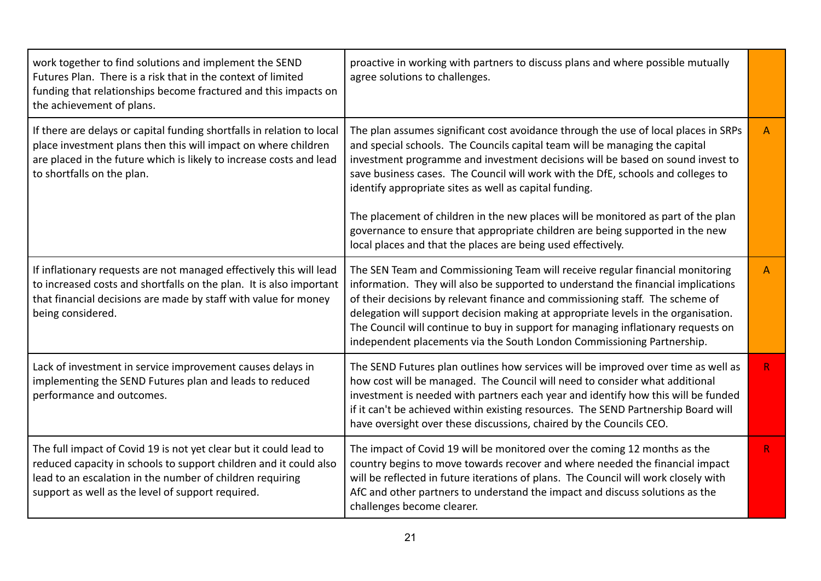| work together to find solutions and implement the SEND<br>Futures Plan. There is a risk that in the context of limited<br>funding that relationships become fractured and this impacts on<br>the achievement of plans.                                   | proactive in working with partners to discuss plans and where possible mutually<br>agree solutions to challenges.                                                                                                                                                                                                                                                                                                                                                                                        |              |
|----------------------------------------------------------------------------------------------------------------------------------------------------------------------------------------------------------------------------------------------------------|----------------------------------------------------------------------------------------------------------------------------------------------------------------------------------------------------------------------------------------------------------------------------------------------------------------------------------------------------------------------------------------------------------------------------------------------------------------------------------------------------------|--------------|
| If there are delays or capital funding shortfalls in relation to local<br>place investment plans then this will impact on where children<br>are placed in the future which is likely to increase costs and lead<br>to shortfalls on the plan.            | The plan assumes significant cost avoidance through the use of local places in SRPs<br>and special schools. The Councils capital team will be managing the capital<br>investment programme and investment decisions will be based on sound invest to<br>save business cases. The Council will work with the DfE, schools and colleges to<br>identify appropriate sites as well as capital funding.                                                                                                       | A            |
|                                                                                                                                                                                                                                                          | The placement of children in the new places will be monitored as part of the plan<br>governance to ensure that appropriate children are being supported in the new<br>local places and that the places are being used effectively.                                                                                                                                                                                                                                                                       |              |
| If inflationary requests are not managed effectively this will lead<br>to increased costs and shortfalls on the plan. It is also important<br>that financial decisions are made by staff with value for money<br>being considered.                       | The SEN Team and Commissioning Team will receive regular financial monitoring<br>information. They will also be supported to understand the financial implications<br>of their decisions by relevant finance and commissioning staff. The scheme of<br>delegation will support decision making at appropriate levels in the organisation.<br>The Council will continue to buy in support for managing inflationary requests on<br>independent placements via the South London Commissioning Partnership. | $\mathsf{A}$ |
| Lack of investment in service improvement causes delays in<br>implementing the SEND Futures plan and leads to reduced<br>performance and outcomes.                                                                                                       | The SEND Futures plan outlines how services will be improved over time as well as<br>how cost will be managed. The Council will need to consider what additional<br>investment is needed with partners each year and identify how this will be funded<br>if it can't be achieved within existing resources. The SEND Partnership Board will<br>have oversight over these discussions, chaired by the Councils CEO.                                                                                       | R.           |
| The full impact of Covid 19 is not yet clear but it could lead to<br>reduced capacity in schools to support children and it could also<br>lead to an escalation in the number of children requiring<br>support as well as the level of support required. | The impact of Covid 19 will be monitored over the coming 12 months as the<br>country begins to move towards recover and where needed the financial impact<br>will be reflected in future iterations of plans. The Council will work closely with<br>AfC and other partners to understand the impact and discuss solutions as the<br>challenges become clearer.                                                                                                                                           | R            |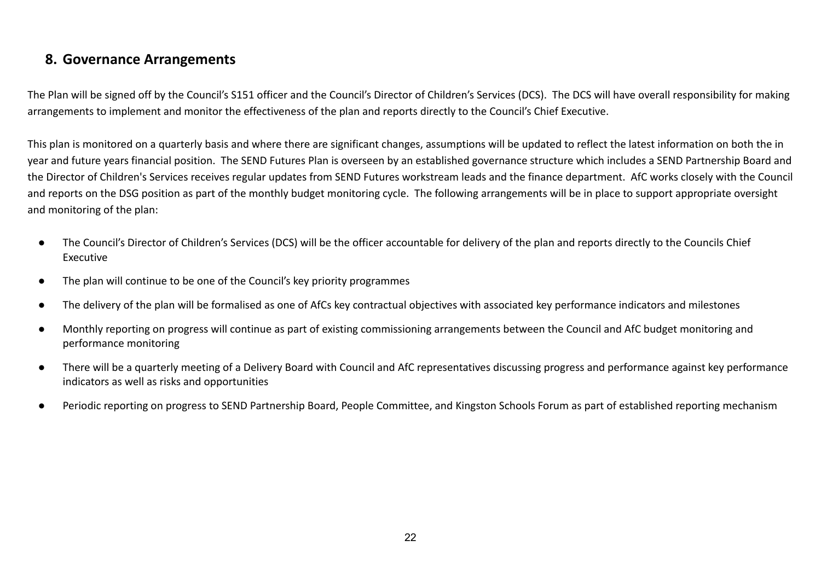## **8. Governance Arrangements**

The Plan will be signed off by the Council's S151 officer and the Council's Director of Children's Services (DCS). The DCS will have overall responsibility for making arrangements to implement and monitor the effectiveness of the plan and reports directly to the Council's Chief Executive.

This plan is monitored on a quarterly basis and where there are significant changes, assumptions will be updated to reflect the latest information on both the in year and future years financial position. The SEND Futures Plan is overseen by an established governance structure which includes a SEND Partnership Board and the Director of Children's Services receives regular updates from SEND Futures workstream leads and the finance department. AfC works closely with the Council and reports on the DSG position as part of the monthly budget monitoring cycle. The following arrangements will be in place to support appropriate oversight and monitoring of the plan:

- The Council's Director of Children's Services (DCS) will be the officer accountable for delivery of the plan and reports directly to the Councils Chief Executive
- The plan will continue to be one of the Council's key priority programmes
- The delivery of the plan will be formalised as one of AfCs key contractual objectives with associated key performance indicators and milestones
- Monthly reporting on progress will continue as part of existing commissioning arrangements between the Council and AfC budget monitoring and performance monitoring
- There will be a quarterly meeting of a Delivery Board with Council and AfC representatives discussing progress and performance against key performance indicators as well as risks and opportunities
- Periodic reporting on progress to SEND Partnership Board, People Committee, and Kingston Schools Forum as part of established reporting mechanism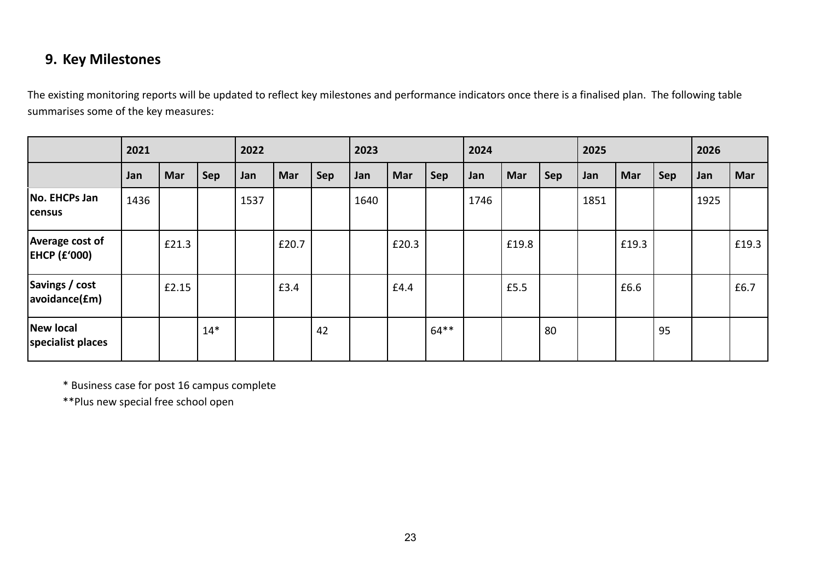# **9. Key Milestones**

The existing monitoring reports will be updated to reflect key milestones and performance indicators once there is a finalised plan. The following table summarises some of the key measures:

|                                        | 2021 |            | 2022  |      | 2023  |     | 2024 |       |         | 2025 |       |            | 2026 |       |     |      |       |
|----------------------------------------|------|------------|-------|------|-------|-----|------|-------|---------|------|-------|------------|------|-------|-----|------|-------|
|                                        | Jan  | <b>Mar</b> | Sep   | Jan  | Mar   | Sep | Jan  | Mar   | Sep     | Jan  | Mar   | <b>Sep</b> | Jan  | Mar   | Sep | Jan  | Mar   |
| No. EHCPs Jan<br> census               | 1436 |            |       | 1537 |       |     | 1640 |       |         | 1746 |       |            | 1851 |       |     | 1925 |       |
| Average cost of<br><b>EHCP (£'000)</b> |      | £21.3      |       |      | £20.7 |     |      | £20.3 |         |      | £19.8 |            |      | £19.3 |     |      | £19.3 |
| Savings / cost<br> avoidance(fm)       |      | £2.15      |       |      | £3.4  |     |      | £4.4  |         |      | £5.5  |            |      | £6.6  |     |      | £6.7  |
| New local<br>specialist places         |      |            | $14*$ |      |       | 42  |      |       | $64***$ |      |       | 80         |      |       | 95  |      |       |

\* Business case for post 16 campus complete

\*\*Plus new special free school open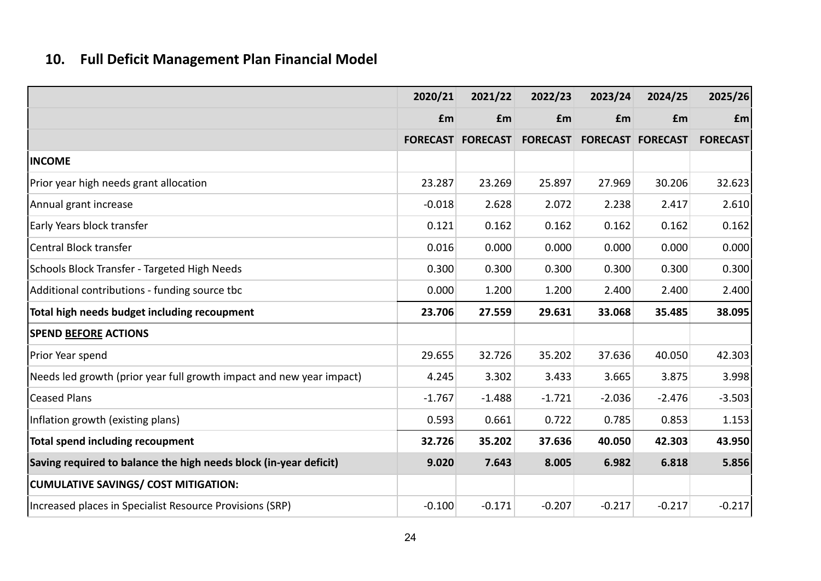# **10. Full Deficit Management Plan Financial Model**

|                                                                      | 2020/21  | 2021/22                  | 2022/23  | 2023/24                           | 2024/25  | 2025/26         |
|----------------------------------------------------------------------|----------|--------------------------|----------|-----------------------------------|----------|-----------------|
|                                                                      | £m       | £m                       | £m       | £m                                | £m       | £m              |
|                                                                      |          | <b>FORECAST FORECAST</b> |          | <b>FORECAST FORECAST FORECAST</b> |          | <b>FORECAST</b> |
| <b>INCOME</b>                                                        |          |                          |          |                                   |          |                 |
| Prior year high needs grant allocation                               | 23.287   | 23.269                   | 25.897   | 27.969                            | 30.206   | 32.623          |
| Annual grant increase                                                | $-0.018$ | 2.628                    | 2.072    | 2.238                             | 2.417    | 2.610           |
| Early Years block transfer                                           | 0.121    | 0.162                    | 0.162    | 0.162                             | 0.162    | 0.162           |
| Central Block transfer                                               | 0.016    | 0.000                    | 0.000    | 0.000                             | 0.000    | 0.000           |
| Schools Block Transfer - Targeted High Needs                         | 0.300    | 0.300                    | 0.300    | 0.300                             | 0.300    | 0.300           |
| Additional contributions - funding source tbc                        | 0.000    | 1.200                    | 1.200    | 2.400                             | 2.400    | 2.400           |
| Total high needs budget including recoupment                         | 23.706   | 27.559                   | 29.631   | 33.068                            | 35.485   | 38.095          |
| <b>SPEND BEFORE ACTIONS</b>                                          |          |                          |          |                                   |          |                 |
| Prior Year spend                                                     | 29.655   | 32.726                   | 35.202   | 37.636                            | 40.050   | 42.303          |
| Needs led growth (prior year full growth impact and new year impact) | 4.245    | 3.302                    | 3.433    | 3.665                             | 3.875    | 3.998           |
| <b>Ceased Plans</b>                                                  | $-1.767$ | $-1.488$                 | $-1.721$ | $-2.036$                          | $-2.476$ | $-3.503$        |
| Inflation growth (existing plans)                                    | 0.593    | 0.661                    | 0.722    | 0.785                             | 0.853    | 1.153           |
| Total spend including recoupment                                     | 32.726   | 35.202                   | 37.636   | 40.050                            | 42.303   | 43.950          |
| Saving required to balance the high needs block (in-year deficit)    | 9.020    | 7.643                    | 8.005    | 6.982                             | 6.818    | 5.856           |
| <b>CUMULATIVE SAVINGS/ COST MITIGATION:</b>                          |          |                          |          |                                   |          |                 |
| Increased places in Specialist Resource Provisions (SRP)             | $-0.100$ | $-0.171$                 | $-0.207$ | $-0.217$                          | $-0.217$ | $-0.217$        |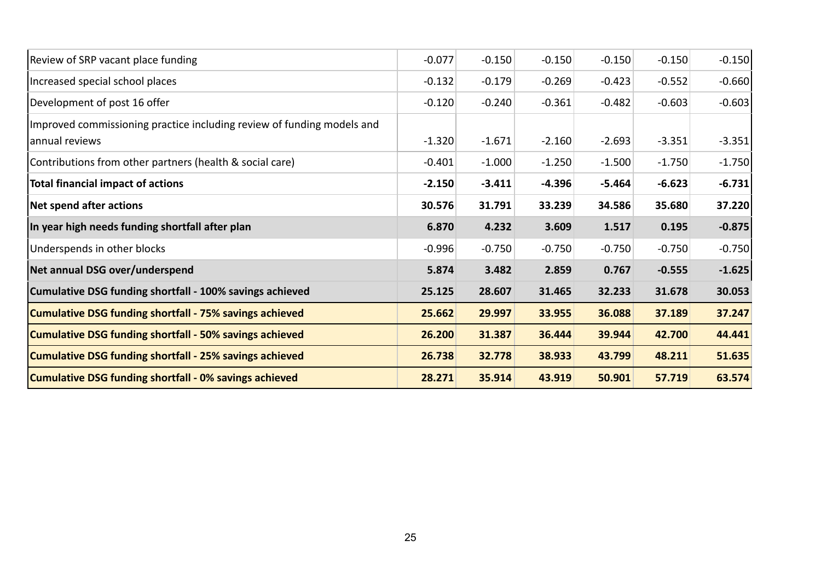| Review of SRP vacant place funding                                                        | $-0.077$ | $-0.150$ | $-0.150$ | $-0.150$ | $-0.150$ | $-0.150$ |
|-------------------------------------------------------------------------------------------|----------|----------|----------|----------|----------|----------|
| Increased special school places                                                           | $-0.132$ | $-0.179$ | $-0.269$ | $-0.423$ | $-0.552$ | $-0.660$ |
| Development of post 16 offer                                                              | $-0.120$ | $-0.240$ | $-0.361$ | $-0.482$ | $-0.603$ | $-0.603$ |
| Improved commissioning practice including review of funding models and<br>lannual reviews | $-1.320$ | $-1.671$ | $-2.160$ | $-2.693$ | $-3.351$ | $-3.351$ |
| Contributions from other partners (health & social care)                                  | $-0.401$ | $-1.000$ | $-1.250$ | $-1.500$ | $-1.750$ | $-1.750$ |
| <b>Total financial impact of actions</b>                                                  | $-2.150$ | $-3.411$ | $-4.396$ | $-5.464$ | $-6.623$ | $-6.731$ |
| Net spend after actions                                                                   | 30.576   | 31.791   | 33.239   | 34.586   | 35.680   | 37.220   |
| In year high needs funding shortfall after plan                                           | 6.870    | 4.232    | 3.609    | 1.517    | 0.195    | $-0.875$ |
| Underspends in other blocks                                                               | $-0.996$ | $-0.750$ | $-0.750$ | $-0.750$ | $-0.750$ | $-0.750$ |
| Net annual DSG over/underspend                                                            | 5.874    | 3.482    | 2.859    | 0.767    | $-0.555$ | $-1.625$ |
| Cumulative DSG funding shortfall - 100% savings achieved                                  | 25.125   | 28.607   | 31.465   | 32.233   | 31.678   | 30.053   |
| Cumulative DSG funding shortfall - 75% savings achieved                                   | 25.662   | 29.997   | 33.955   | 36.088   | 37.189   | 37.247   |
| Cumulative DSG funding shortfall - 50% savings achieved                                   | 26.200   | 31.387   | 36.444   | 39.944   | 42.700   | 44.441   |
| Cumulative DSG funding shortfall - 25% savings achieved                                   | 26.738   | 32.778   | 38.933   | 43.799   | 48.211   | 51.635   |
| Cumulative DSG funding shortfall - 0% savings achieved                                    | 28.271   | 35.914   | 43.919   | 50.901   | 57.719   | 63.574   |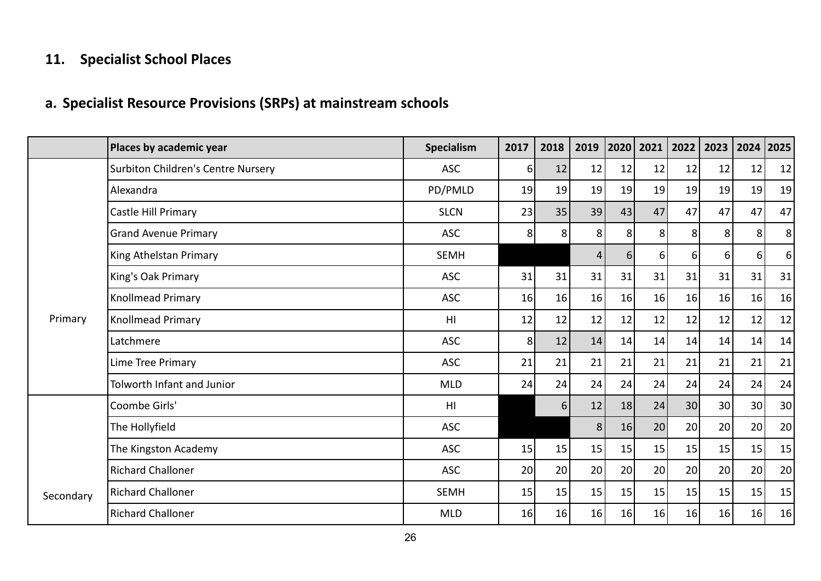# **11. Specialist School Places**

# **a. Specialist Resource Provisions (SRPs) at mainstream schools**

|           | Places by academic year                   | Specialism     | 2017           | 2018     | 2019 | 2020 | 2021 | 2022 | 2023 | 2024 | 2025           |
|-----------|-------------------------------------------|----------------|----------------|----------|------|------|------|------|------|------|----------------|
|           | <b>Surbiton Children's Centre Nursery</b> | <b>ASC</b>     | $6\sqrt{2}$    | 12       | 12   | 12   | 12   | 12   | 12   | 12   | 12             |
|           | Alexandra                                 | PD/PMLD        | 19             | 19       | 19   | 19   | 19   | 19   | 19   | 19   | 19             |
|           | Castle Hill Primary                       | <b>SLCN</b>    | 23             | 35       | 39   | 43   | 47   | 47   | 47   | 47   | 47             |
|           | <b>Grand Avenue Primary</b>               | <b>ASC</b>     | 8              | 8        | 8    | 8    | 8    | 8    | 8    | 8    | 8 <sup>1</sup> |
|           | King Athelstan Primary                    | <b>SEMH</b>    |                |          | 4    | 6    | 6    | 6    | 6    | 6    | 6 <sup>1</sup> |
|           | King's Oak Primary                        | <b>ASC</b>     | 31             | 31       | 31   | 31   | 31   | 31   | 31   | 31   | 31             |
|           | Knollmead Primary                         | <b>ASC</b>     | 16             | 16       | 16   | 16   | 16   | 16   | 16   | 16   | 16             |
| Primary   | Knollmead Primary                         | H <sub>l</sub> | 12             | 12       | 12   | 12   | 12   | 12   | 12   | 12   | 12             |
|           | Latchmere                                 | <b>ASC</b>     | 8 <sup>1</sup> | 12       | 14   | 14   | 14   | 14   | 14   | 14   | 14             |
|           | Lime Tree Primary                         | <b>ASC</b>     | 21             | 21       | 21   | 21   | 21   | 21   | 21   | 21   | 21             |
|           | Tolworth Infant and Junior                | <b>MLD</b>     | 24             | 24       | 24   | 24   | 24   | 24   | 24   | 24   | 24             |
|           | Coombe Girls'                             | H <sub>l</sub> |                | $6 \mid$ | 12   | 18   | 24   | 30   | 30   | 30   | 30             |
|           | The Hollyfield                            | <b>ASC</b>     |                |          | 8    | 16   | 20   | 20   | 20   | 20   | 20             |
|           | The Kingston Academy                      | <b>ASC</b>     | 15             | 15       | 15   | 15   | 15   | 15   | 15   | 15   | 15             |
|           | <b>Richard Challoner</b>                  | <b>ASC</b>     | 20             | 20       | 20   | 20   | 20   | 20   | 20   | 20   | 20             |
| Secondary | <b>Richard Challoner</b>                  | <b>SEMH</b>    | 15             | 15       | 15   | 15   | 15   | 15   | 15   | 15   | 15             |
|           | <b>Richard Challoner</b>                  | <b>MLD</b>     | 16             | 16       | 16   | 16   | 16   | 16   | 16   | 16   | 16             |